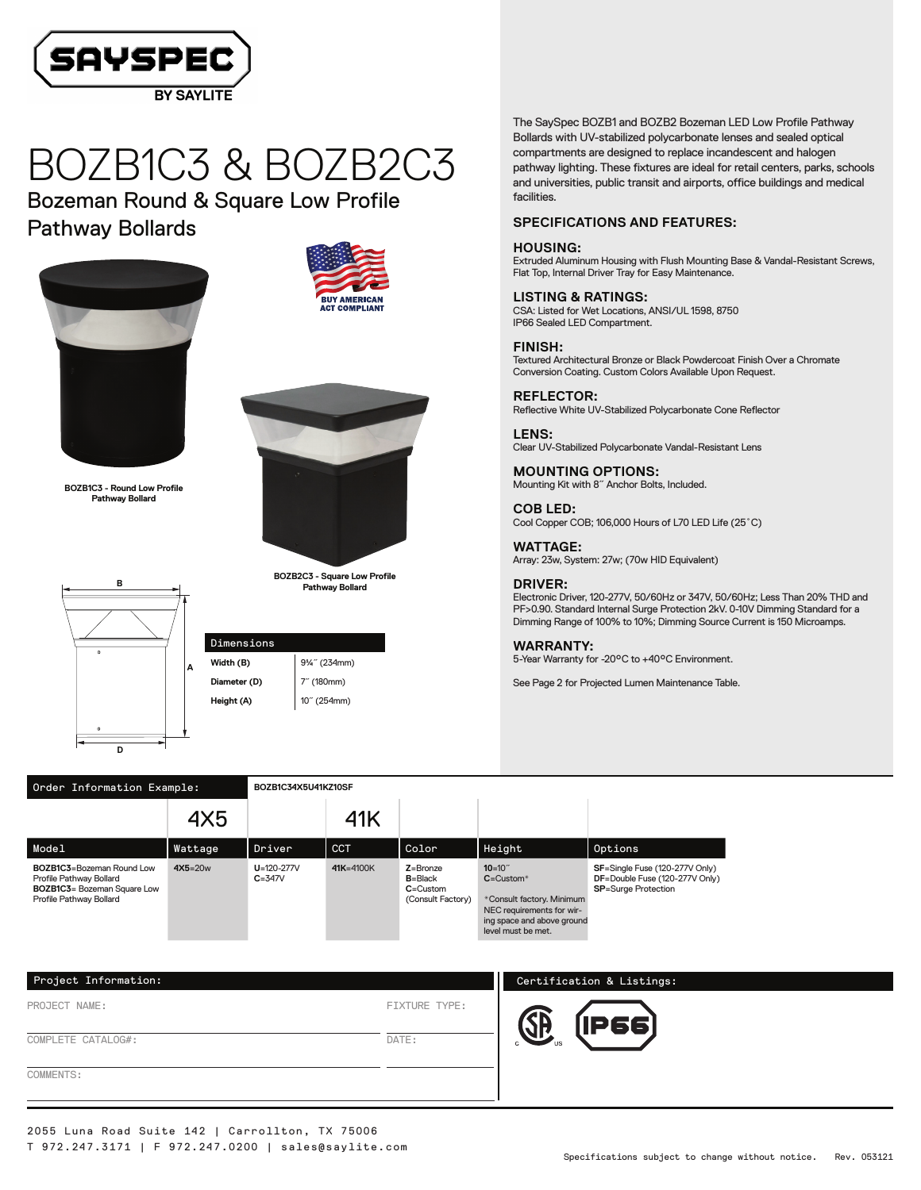

# BOZB1C3 & BOZB2C3

Bozeman Round & Square Low Profile Pathway Bollards



**BOZB1C3 - Round Low Profile Pathway Bollard**

**B**





**BOZB2C3 - Square Low Profile Pathway Bollard**



Dimensions **Width (B)** 9¼<sup>"</sup> (234mm) **Diameter (D)** 7<sup>"</sup> (180mm) **Height (A)** 10<sup>"</sup> (254mm)

The SaySpec BOZB1 and BOZB2 Bozeman LED Low Profile Pathway Bollards with UV-stabilized polycarbonate lenses and sealed optical compartments are designed to replace incandescent and halogen pathway lighting. These fixtures are ideal for retail centers, parks, schools and universities, public transit and airports, office buildings and medical facilities.

# **SPECIFICATIONS AND FEATURES:**

### **HOUSING:**

Extruded Aluminum Housing with Flush Mounting Base & Vandal-Resistant Screws, Flat Top, Internal Driver Tray for Easy Maintenance.

#### **LISTING & RATINGS:** CSA: Listed for Wet Locations, ANSI/UL 1598, 8750 IP66 Sealed LED Compartment.

#### **FINISH:**

Textured Architectural Bronze or Black Powdercoat Finish Over a Chromate Conversion Coating. Custom Colors Available Upon Request.

# **REFLECTOR:**

Reflective White UV-Stabilized Polycarbonate Cone Reflector

**LENS:** Clear UV-Stabilized Polycarbonate Vandal-Resistant Lens

**MOUNTING OPTIONS:** Mounting Kit with 8˝ Anchor Bolts, Included.

**COB LED:** Cool Copper COB; 106,000 Hours of L70 LED Life (25˚C)

**WATTAGE:** Array: 23w, System: 27w; (70w HID Equivalent)

# **DRIVER:**

Electronic Driver, 120-277V, 50/60Hz or 347V, 50/60Hz; Less Than 20% THD and PF>0.90. Standard Internal Surge Protection 2kV. 0-10V Dimming Standard for a Dimming Range of 100% to 10%; Dimming Source Current is 150 Microamps.

## **WARRANTY:**

5-Year Warranty for -20°C to +40°C Environment.

See Page 2 for Projected Lumen Maintenance Table.

| Order Information Example:                                                                                             | BOZB1C34X5U41KZ10SF |                                |               |                                                                  |                                                                                                                                                        |                                                                                                |  |
|------------------------------------------------------------------------------------------------------------------------|---------------------|--------------------------------|---------------|------------------------------------------------------------------|--------------------------------------------------------------------------------------------------------------------------------------------------------|------------------------------------------------------------------------------------------------|--|
|                                                                                                                        | 4X5                 |                                | 41K           |                                                                  |                                                                                                                                                        |                                                                                                |  |
| Model                                                                                                                  | Wattage             | Driver                         | <b>CCT</b>    | Color                                                            | Height                                                                                                                                                 | Options                                                                                        |  |
| BOZB1C3=Bozeman Round Low<br>Profile Pathway Bollard<br><b>BOZB1C3</b> = Bozeman Square Low<br>Profile Pathway Bollard | $4X5=20w$           | $U = 120 - 277V$<br>$C = 347V$ | $41K = 4100K$ | $Z =$ Bronze<br>$B = Black$<br>$C =$ Custom<br>(Consult Factory) | $10=10$ <sup>"</sup><br>$C =$ Custom $*$<br>*Consult factory. Minimum<br>NEC requirements for wir-<br>ing space and above ground<br>level must be met. | SF=Single Fuse (120-277V Only)<br>DF=Double Fuse (120-277V Only)<br><b>SP=Surge Protection</b> |  |

| Project Information: |                      | Certification & Listings: |
|----------------------|----------------------|---------------------------|
| PROJECT NAME:        | <b>FIXTURE TYPE:</b> | <b>P66</b>                |
| COMPLETE CATALOG#:   | DATE:                |                           |
| COMMENTS:            |                      |                           |